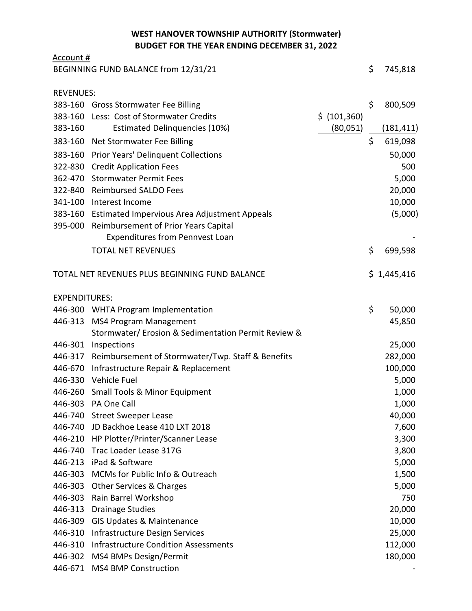## **WEST HANOVER TOWNSHIP AUTHORITY (Stormwater) BUDGET FOR THE YEAR ENDING DECEMBER 31, 2022**

| Account #                            |                                                      |               |    |             |
|--------------------------------------|------------------------------------------------------|---------------|----|-------------|
| BEGINNING FUND BALANCE from 12/31/21 |                                                      |               |    | 745,818     |
|                                      |                                                      |               |    |             |
| <b>REVENUES:</b>                     |                                                      |               |    |             |
|                                      | 383-160 Gross Stormwater Fee Billing                 |               | \$ | 800,509     |
|                                      | 383-160 Less: Cost of Stormwater Credits             | \$ (101, 360) |    |             |
| 383-160                              | <b>Estimated Delinquencies (10%)</b>                 | (80,051)      |    | (181, 411)  |
|                                      | 383-160 Net Stormwater Fee Billing                   |               | \$ | 619,098     |
| 383-160                              | <b>Prior Years' Delinquent Collections</b>           |               |    | 50,000      |
|                                      | 322-830 Credit Application Fees                      |               |    | 500         |
| 362-470                              | <b>Stormwater Permit Fees</b>                        |               |    | 5,000       |
|                                      | 322-840 Reimbursed SALDO Fees                        |               |    | 20,000      |
| 341-100                              | Interest Income                                      |               |    | 10,000      |
|                                      | 383-160 Estimated Impervious Area Adjustment Appeals |               |    | (5,000)     |
|                                      | 395-000 Reimbursement of Prior Years Capital         |               |    |             |
|                                      | <b>Expenditures from Pennvest Loan</b>               |               |    |             |
|                                      | <b>TOTAL NET REVENUES</b>                            |               | \$ | 699,598     |
|                                      | TOTAL NET REVENUES PLUS BEGINNING FUND BALANCE       |               |    | \$1,445,416 |
| <b>EXPENDITURES:</b>                 |                                                      |               |    |             |
|                                      | 446-300 WHTA Program Implementation                  |               | \$ | 50,000      |
| 446-313                              | <b>MS4 Program Management</b>                        |               |    | 45,850      |
|                                      | Stormwater/ Erosion & Sedimentation Permit Review &  |               |    |             |
| 446-301                              | Inspections                                          |               |    | 25,000      |
| 446-317                              | Reimbursement of Stormwater/Twp. Staff & Benefits    |               |    | 282,000     |
| 446-670                              | Infrastructure Repair & Replacement                  |               |    | 100,000     |
|                                      | 446-330 Vehicle Fuel                                 |               |    | 5,000       |
| 446-260                              | <b>Small Tools &amp; Minor Equipment</b>             |               |    | 1,000       |
| 446-303                              | PA One Call                                          |               |    | 1,000       |
|                                      | 446-740 Street Sweeper Lease                         |               |    | 40,000      |
| 446-740                              | JD Backhoe Lease 410 LXT 2018                        |               |    | 7,600       |
|                                      | 446-210 HP Plotter/Printer/Scanner Lease             |               |    | 3,300       |
| 446-740                              | Trac Loader Lease 317G                               |               |    | 3,800       |
| 446-213                              | iPad & Software                                      |               |    | 5,000       |
| 446-303                              | MCMs for Public Info & Outreach                      |               |    | 1,500       |
| 446-303                              | Other Services & Charges                             |               |    | 5,000       |
| 446-303                              | Rain Barrel Workshop                                 |               |    | 750         |
| 446-313                              | <b>Drainage Studies</b>                              |               |    | 20,000      |
| 446-309                              | <b>GIS Updates &amp; Maintenance</b>                 |               |    | 10,000      |
| 446-310                              | Infrastructure Design Services                       |               |    | 25,000      |
| 446-310                              | <b>Infrastructure Condition Assessments</b>          |               |    | 112,000     |
| 446-302                              | MS4 BMPs Design/Permit                               |               |    | 180,000     |
| 446-671                              | <b>MS4 BMP Construction</b>                          |               |    |             |